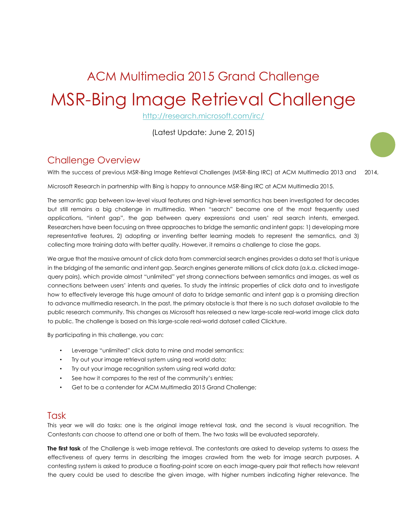# ACM Multimedia 2015 Grand Challenge MSR-Bing Image Retrieval Challenge

<http://research.microsoft.com/irc/>

(Latest Update: June 2, 2015)

## Challenge Overview

With the success of previous MSR-Bing Image Retrieval Challenges (MSR-Bing IRC) at ACM Multimedia 2013 and **1** 2014,

Microsoft Research in partnership with Bing is happy to announce MSR-Bing IRC at ACM Multimedia 2015.

The semantic gap between low-level visual features and high-level semantics has been investigated for decades but still remains a big challenge in multimedia. When "search" became one of the most frequently used applications, "intent gap", the gap between query expressions and users' real search intents, emerged. Researchers have been focusing on three approaches to bridge the semantic and intent gaps: 1) developing more representative features, 2) adopting or inventing better learning models to represent the semantics, and 3) collecting more training data with better quality. However, it remains a challenge to close the gaps.

We argue that the massive amount of click data from commercial search engines provides a data set that is unique in the bridging of the semantic and intent gap. Search engines generate millions of click data (a.k.a. clicked imagequery pairs), which provide almost "unlimited" yet strong connections between semantics and images, as well as connections between users' intents and queries. To study the intrinsic properties of click data and to investigate how to effectively leverage this huge amount of data to bridge semantic and intent gap is a promising direction to advance multimedia research. In the past, the primary obstacle is that there is no such dataset available to the public research community. This changes as Microsoft has released a new large-scale real-world image click data to public. The challenge is based on this large-scale real-world dataset called Clickture.

By participating in this challenge, you can:

- Leverage "unlimited" click data to mine and model semantics;
- Try out your image retrieval system using real world data;
- Try out your image recognition system using real world data;
- See how it compares to the rest of the community's entries;
- Get to be a contender for ACM Multimedia 2015 Grand Challenge;

## Task

This year we will do tasks: one is the original image retrieval task, and the second is visual recognition. The Contestants can choose to attend one or both of them. The two tasks will be evaluated separately.

**The first task** of the Challenge is web image retrieval. The contestants are asked to develop systems to assess the effectiveness of query terms in describing the images crawled from the web for image search purposes. A contesting system is asked to produce a floating-point score on each image-query pair that reflects how relevant the query could be used to describe the given image, with higher numbers indicating higher relevance. The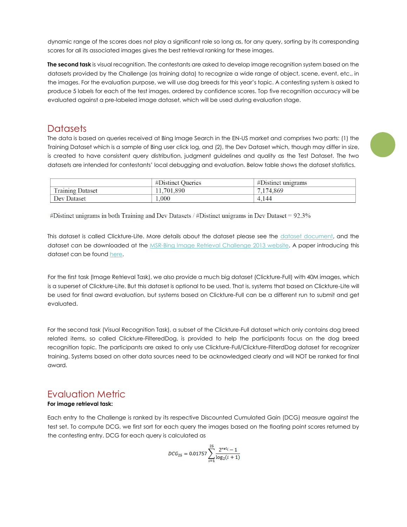dynamic range of the scores does not play a significant role so long as, for any query, sorting by its corresponding scores for all its associated images gives the best retrieval ranking for these images.

**The second task** is visual recognition. The contestants are asked to develop image recognition system based on the datasets provided by the Challenge (as training data) to recognize a wide range of object, scene, event, etc., in the images. For the evaluation purpose, we will use dog breeds for this year's topic. A contesting system is asked to produce 5 labels for each of the test images, ordered by confidence scores. Top five recognition accuracy will be evaluated against a pre-labeled image dataset, which will be used during evaluation stage.

## **Datasets**

The data is based on queries received at Bing Image Search in the EN-US market and comprises two parts: (1) the Training Dataset which is a sample of Bing user click log, and (2), the Dev Dataset which, though may differ in size, is created to have consistent query distribution, judgment guidelines and quality as the Test Dataset. The two datasets are intended for contestants' local debugging and evaluation. Below table shows the dataset statistics.

|                         | #Distinct Queries | $#D$ istinct unigrams |
|-------------------------|-------------------|-----------------------|
| <b>Training Dataset</b> | 11,701,890        | 7.174.869             |
| Dev Dataset             | .000              | 4.144                 |

#Distinct unigrams in both Training and Dev Datasets / #Distinct unigrams in Dev Dataset = 92.3%

This dataset is called Clickture-Lite. More details about the dataset please see the [dataset document,](http://web-ngram.research.microsoft.com/GrandChallenge/Docs/Image%20Retrieval%20Development%20Package.pdf) and the dataset can be downloaded at the [MSR-Bing Image Retrieval Challenge 2013 website.](http://web-ngram.research.microsoft.com/GrandChallenge/Datasets.aspx) A paper introducing this dataset can be found [here.](http://research.microsoft.com/apps/pubs/default.aspx?id=203730)

For the first task (Image Retrieval Task), we also provide a much big dataset (Clickture-Full) with 40M images, which is a superset of Clickture-Lite. But this dataset is optional to be used. That is, systems that based on Clickture-Lite will be used for final award evaluation, but systems based on Clickture-Full can be a different run to submit and get evaluated.

For the second task (Visual Recognition Task), a subset of the Clickture-Full dataset which only contains dog breed related items, so called Clickture-FilteredDog, is provided to help the participants focus on the dog breed recognition topic. The participants are asked to only use Clickture-Full/Clickture-FilterdDog dataset for recognizer training. Systems based on other data sources need to be acknowledged clearly and will NOT be ranked for final award.

## Evaluation Metric

#### **For image retrieval task:**

Each entry to the Challenge is ranked by its respective Discounted Cumulated Gain (DCG) measure against the test set. To compute DCG, we first sort for each query the images based on the floating point scores returned by the contesting entry. DCG for each query is calculated as

$$
\textit{DCG}_{25}=0.01757\sum_{i=1}^{25}\frac{2^{rel_i}-1}{\log_2(i+1)}
$$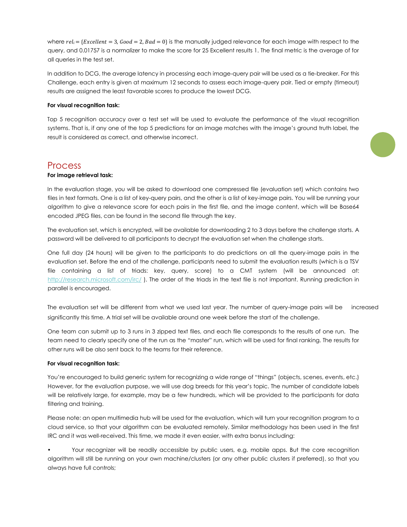where  $rel_i = \{Exception = 3, Good = 2, Bad = 0\}$  is the manually judged relevance for each image with respect to the query, and 0.01757 is a normalizer to make the score for 25 Excellent results 1. The final metric is the average of for all queries in the test set.

In addition to DCG, the average latency in processing each image-query pair will be used as a tie-breaker. For this Challenge, each entry is given at maximum 12 seconds to assess each image-query pair. Tied or empty (timeout) results are assigned the least favorable scores to produce the lowest DCG.

#### **For visual recognition task:**

Top 5 recognition accuracy over a test set will be used to evaluate the performance of the visual recognition systems. That is, if any one of the top 5 predictions for an image matches with the image's ground truth label, the result is considered as correct, and otherwise incorrect.

#### Process

#### **For image retrieval task:**

In the evaluation stage, you will be asked to download one compressed file (evaluation set) which contains two files in text formats. One is a list of key-query pairs, and the other is a list of key-image pairs. You will be running your algorithm to give a relevance score for each pairs in the first file, and the image content, which will be Base64 encoded JPEG files, can be found in the second file through the key.

The evaluation set, which is encrypted, will be available for downloading 2 to 3 days before the challenge starts. A password will be delivered to all participants to decrypt the evaluation set when the challenge starts.

One full day (24 hours) will be given to the participants to do predictions on all the query-image pairs in the evaluation set. Before the end of the challenge, participants need to submit the evaluation results (which is a TSV file containing a list of triads: key, query, score) to a CMT system (will be announced at: <http://research.microsoft.com/irc/>). The order of the triads in the text file is not important. Running prediction in parallel is encouraged.

The evaluation set will be different from what we used last year. The number of query-image pairs will be **3** increased significantly this time. A trial set will be available around one week before the start of the challenge.

One team can submit up to 3 runs in 3 zipped text files, and each file corresponds to the results of one run. The team need to clearly specify one of the run as the "master" run, which will be used for final ranking. The results for other runs will be also sent back to the teams for their reference.

#### **For visual recognition task:**

You're encouraged to build generic system for recognizing a wide range of "things" (objects, scenes, events, etc.) However, for the evaluation purpose, we will use dog breeds for this year's topic. The number of candidate labels will be relatively large, for example, may be a few hundreds, which will be provided to the participants for data filtering and training.

Please note: an open multimedia hub will be used for the evaluation, which will turn your recognition program to a cloud service, so that your algorithm can be evaluated remotely. Similar methodology has been used in the first IRC and it was well-received. This time, we made it even easier, with extra bonus including:

• Your recognizer will be readily accessible by public users, e.g. mobile apps. But the core recognition algorithm will still be running on your own machine/clusters (or any other public clusters if preferred), so that you always have full controls;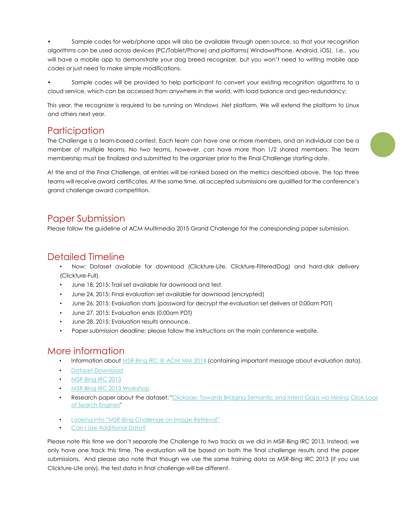• Sample codes for web/phone apps will also be available through open source, so that your recognition algorithms can be used across devices (PC/Tablet/Phone) and platforms( WindowsPhone, Android, iOS). I.e., you will have a mobile app to demonstrate your dog breed recognizer, but you won't need to writing mobile app codes or just need to make simple modifications.

Sample codes will be provided to help participant to convert your existing recognition algorithms to a cloud service, which can be accessed from anywhere in the world, with load balance and geo-redundancy;

This year, the recognizer is required to be running on Windows .Net platform. We will extend the platform to Linux and others next year.

## Participation

The Challenge is a team-based contest. Each team can have one or more members, and an individual can be a member of multiple teams. No two teams, however, can have more than 1/2 shared members. The team membership must be finalized and submitted to the organizer prior to the Final Challenge starting date.

At the end of the Final Challenge, all entries will be ranked based on the metrics described above. The top three teams will receive award certificates. At the same time, all accepted submissions are qualified for the conference's grand challenge award competition.

## Paper Submission

Please follow the guideline of ACM Multimedia 2015 Grand Challenge for the corresponding paper submission.

## Detailed Timeline

- Now: Dataset available for download (Clickture-Lite, Clickture-FilteredDog) and hard-disk delivery (Clickture-Full).
- June 18, 2015: Trail set available for download and test.
- June 24, 2015: Final evaluation set available for download (encrypted)
- June 26, 2015: Evaluation starts (password for decrypt the evaluation set delivers at 0:00am PDT)
- June 27, 2015: Evaluation ends (0:00am PDT)
- June 28, 2015: Evaluation results announce.
- Paper submission deadline: please follow the instructions on the main conference website.

## More information

- Information about **MSR-Bing IRC @ ACM MM [2014](http://research.microsoft.com/en-US/projects/irc/acmmm2014.aspx)** (containing important message about evaluation data).
- [Dataset Download](http://web-ngram.research.microsoft.com/GrandChallenge/Datasets.aspx)
- [MSR-Bing IRC 2013](http://web-ngram.research.microsoft.com/GrandChallenge/Default.aspx)
- [MSR-Bing IRC 2013 Workshop](http://research.microsoft.com/en-us/events/irc2013/)
- Research paper about the dataset[: "Clickage: Towards Bridging Semantic and Intent Gaps via Mining](http://dl.acm.org/citation.cfm?id=2502283) Click Logs [of Search Engines"](http://dl.acm.org/citation.cfm?id=2502283)
- Looki[ng into "MSR](http://web-ngram.research.microsoft.com/GrandChallenge/Docs/FromXSHua.pdf)-[Bing Challenge on Image Retrieval"](http://web-ngram.research.microsoft.com/GrandChallenge/Docs/FromXSHua.pdf) **4**
- [Can I Use Additional Data?](http://web-ngram.research.microsoft.com/GrandChallenge/Docs/AddData.pdf)

Please note this time we don't separate the Challenge to two tracks as we did in MSR-Bing IRC 2013. Instead, we only have one track this time. The evaluation will be based on both the final challenge results and the paper submissions. And please also note that though we use the same training data as MSR-Bing IRC 2013 (if you use Clickture-Lite only), the test data in final challenge will be different.